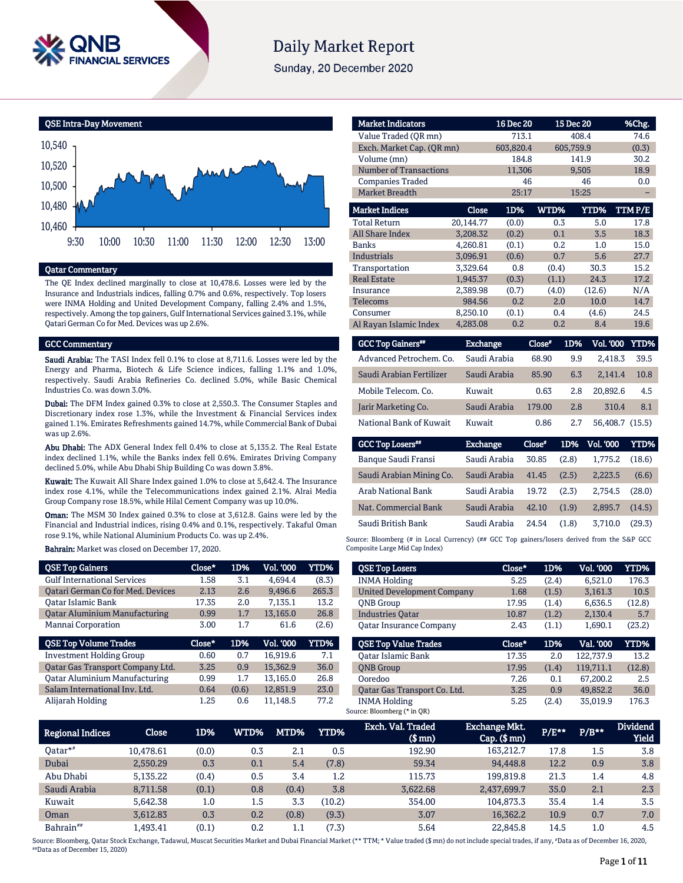

# **Daily Market Report**

Sunday, 20 December 2020



## Qatar Commentary

The QE Index declined marginally to close at 10,478.6. Losses were led by the Insurance and Industrials indices, falling 0.7% and 0.6%, respectively. Top losers were INMA Holding and United Development Company, falling 2.4% and 1.5%, respectively. Among the top gainers, Gulf International Services gained 3.1%, while Qatari German Co for Med. Devices was up 2.6%.

### GCC Commentary

Saudi Arabia: The TASI Index fell 0.1% to close at 8,711.6. Losses were led by the Energy and Pharma, Biotech & Life Science indices, falling 1.1% and 1.0%, respectively. Saudi Arabia Refineries Co. declined 5.0%, while Basic Chemical Industries Co. was down 3.0%.

Dubai: The DFM Index gained 0.3% to close at 2,550.3. The Consumer Staples and Discretionary index rose 1.3%, while the Investment & Financial Services index gained 1.1%. Emirates Refreshments gained 14.7%, while Commercial Bank of Dubai was up 2.6%.

Abu Dhabi: The ADX General Index fell 0.4% to close at 5,135.2. The Real Estate index declined 1.1%, while the Banks index fell 0.6%. Emirates Driving Company declined 5.0%, while Abu Dhabi Ship Building Co was down 3.8%.

Kuwait: The Kuwait All Share Index gained 1.0% to close at 5,642.4. The Insurance index rose 4.1%, while the Telecommunications index gained 2.1%. Alrai Media Group Company rose 18.5%, while Hilal Cement Company was up 10.0%.

Oman: The MSM 30 Index gained 0.3% to close at 3,612.8. Gains were led by the Financial and Industrial indices, rising 0.4% and 0.1%, respectively. Takaful Oman rose 9.1%, while National Aluminium Products Co. was up 2.4%.

Bahrain: Market was closed on December 17, 2020.

| <b>QSE Top Gainers</b>                   | Close* | 1D%   | Vol. '000 | YTD%  |
|------------------------------------------|--------|-------|-----------|-------|
| <b>Gulf International Services</b>       | 1.58   | 3.1   | 4.694.4   | (8.3) |
| <b>Qatari German Co for Med. Devices</b> | 2.13   | 2.6   | 9.496.6   | 265.3 |
| Oatar Islamic Bank                       | 17.35  | 2.0   | 7.135.1   | 13.2  |
| <b>Qatar Aluminium Manufacturing</b>     | 0.99   | 1.7   | 13,165.0  | 26.8  |
| Mannai Corporation                       | 3.00   | 1.7   | 61.6      | (2.6) |
|                                          |        |       |           |       |
| <b>QSE Top Volume Trades</b>             | Close* | 1D%   | Vol. '000 | YTD%  |
| <b>Investment Holding Group</b>          | 0.60   | 0.7   | 16.919.6  | 7.1   |
| Qatar Gas Transport Company Ltd.         | 3.25   | 0.9   | 15.362.9  | 36.0  |
| <b>Qatar Aluminium Manufacturing</b>     | 0.99   | 1.7   | 13.165.0  | 26.8  |
| Salam International Inv. Ltd.            | 0.64   | (0.6) | 12.851.9  | 23.0  |

| <b>Market Indicators</b>      |           | 16 Dec 20 |       | 15 Dec 20   | %Chg.  |
|-------------------------------|-----------|-----------|-------|-------------|--------|
| Value Traded (OR mn)          | 713.1     |           | 408.4 |             |        |
| Exch. Market Cap. (OR mn)     |           | 603,820.4 |       | 605,759.9   | (0.3)  |
| Volume (mn)                   |           | 184.8     |       | 141.9       | 30.2   |
| <b>Number of Transactions</b> |           | 11,306    |       | 9,505       | 18.9   |
| <b>Companies Traded</b>       |           | 46        |       | 46          | 0.0    |
| <b>Market Breadth</b>         |           | 25:17     |       | 15:25       |        |
| <b>Market Indices</b>         | Close     | 1D%       | WTD%  | <b>YTD%</b> | TTMP/E |
| <b>Total Return</b>           | 20,144.77 | (0.0)     | 0.3   | 5.0         | 17.8   |
| <b>All Share Index</b>        | 3.208.32  | (0.2)     | 0.1   | 3.5         | 18.3   |
| Banks                         | 4,260.81  | (0.1)     | 0.2   | 1.0         | 15.0   |
| <b>Industrials</b>            | 3.096.91  | (0.6)     | 0.7   | 5.6         | 27.7   |
| Transportation                | 3.329.64  | 0.8       | (0.4) | 30.3        | 15.2   |
| <b>Real Estate</b>            | 1.945.37  | (0.3)     | (1.1) | 24.3        | 17.2   |
| Insurance                     | 2,389.98  | (0.7)     | (4.0) | (12.6)      | N/A    |
| <b>Telecoms</b>               | 984.56    | 0.2       | 2.0   | 10.0        | 14.7   |
| Consumer                      | 8,250.10  | (0.1)     | 0.4   | (4.6)       | 24.5   |
| Al Rayan Islamic Index        | 4,283.08  | 0.2       | 0.2   | 8.4         | 19.6   |

| <b>GCC Top Gainers**</b> | <b>Exchange</b> | Close* | 1D% | Vol. '000 | YTD%   |
|--------------------------|-----------------|--------|-----|-----------|--------|
| Advanced Petrochem. Co.  | Saudi Arabia    | 68.90  | 9.9 | 2.418.3   | 39.5   |
| Saudi Arabian Fertilizer | Saudi Arabia    | 85.90  | 6.3 | 2.141.4   | 10.8   |
| Mobile Telecom, Co.      | Kuwait          | 0.63   | 2.8 | 20.892.6  | 4.5    |
| Jarir Marketing Co.      | Saudi Arabia    | 179.00 | 2.8 | 310.4     | 8.1    |
| National Bank of Kuwait  | Kuwait          | 0.86   | 2.7 | 56,408.7  | (15.5) |

| <b>GCC Top Losers**</b>  | <b>Exchange</b> | Close" |       | 1D% Vol. '000 | YTD%   |
|--------------------------|-----------------|--------|-------|---------------|--------|
| Banque Saudi Fransi      | Saudi Arabia    | 30.85  | (2.8) | 1.775.2       | (18.6) |
| Saudi Arabian Mining Co. | Saudi Arabia    | 41.45  | (2.5) | 2.223.5       | (6.6)  |
| Arab National Bank       | Saudi Arabia    | 19.72  | (2.3) | 2.754.5       | (28.0) |
| Nat. Commercial Bank     | Saudi Arabia    | 42.10  | (1.9) | 2.895.7       | (14.5) |
| Saudi British Bank       | Saudi Arabia    | 24.54  | (1.8) | 3.710.0       | (29.3) |

Source: Bloomberg (# in Local Currency) (## GCC Top gainers/losers derived from the S&P GCC Composite Large Mid Cap Index)

| <b>QSE Top Losers</b>             | Close* | 1D%   | <b>Vol. '000</b> | YTD%   |
|-----------------------------------|--------|-------|------------------|--------|
| <b>INMA Holding</b>               | 5.25   | (2.4) | 6,521.0          | 176.3  |
| <b>United Development Company</b> | 1.68   | (1.5) | 3.161.3          | 10.5   |
| <b>ONB</b> Group                  | 17.95  | (1.4) | 6,636.5          | (12.8) |
| <b>Industries Oatar</b>           | 10.87  | (1.2) | 2.130.4          | 5.7    |
| <b>Qatar Insurance Company</b>    | 2.43   | (1.1) | 1,690.1          | (23.2) |
|                                   |        |       |                  |        |
| <b>OSE Top Value Trades</b>       | Close* | 1D%   | Val. '000        | YTD%   |
| <b>Oatar Islamic Bank</b>         | 17.35  | 2.0   | 122.737.9        | 13.2   |
| <b>ONB</b> Group                  | 17.95  | (1.4) | 119.711.1        | (12.8) |
| Ooredoo                           | 7.26   | 0.1   | 67,200.2         | 2.5    |
| Oatar Gas Transport Co. Ltd.      | 3.25   | 0.9   | 49,852.2         | 36.0   |

| Regional Indices | Close     | 1D%   | WTD% | MTD%    | <b>YTD%</b> | Exch. Val. Traded<br>$$$ mm $)$ | <b>Exchange Mkt.</b><br>$Cap.$ $(\$$ mn) | $P/E***$ | $P/B**$ | <b>Dividend</b><br><b>Yield</b> |
|------------------|-----------|-------|------|---------|-------------|---------------------------------|------------------------------------------|----------|---------|---------------------------------|
| Oatar**          | 10.478.61 | (0.0) | 0.3  | 2.1     | 0.5         | 192.90                          | 163,212.7                                | 17.8     | $1.5\,$ | 3.8                             |
| Dubai            | 2.550.29  | 0.3   | 0.1  | 5.4     | (7.8)       | 59.34                           | 94,448.8                                 | 12.2     | 0.9     | 3.8                             |
| Abu Dhabi        | 5.135.22  | (0.4) | 0.5  | 3.4     | 1.2         | 115.73                          | 199.819.8                                | 21.3     | 1.4     | 4.8                             |
| Saudi Arabia     | 8,711.58  | (0.1) | 0.8  | (0.4)   | 3.8         | 3,622.68                        | 2,437,699.7                              | 35.0     | 2.1     | 2.3                             |
| Kuwait           | 5.642.38  | 1.0   | 1.5  | 3.3     | (10.2)      | 354.00                          | 104.873.3                                | 35.4     | 1.4     | 3.5                             |
| Oman             | 3.612.83  | 0.3   | 0.2  | (0.8)   | (9.3)       | 3.07                            | 16.362.2                                 | 10.9     | 0.7     | 7.0                             |
| Bahrain##        | 1,493.41  | (0.1) | 0.2  | $1.1\,$ | (7.3)       | 5.64                            | 22,845.8                                 | 14.5     | 1.0     | 4.5                             |

Source: Bloomberg, Qatar Stock Exchange, Tadawul, Muscat Securities Market and Dubai Financial Market (\*\* TTM; \* Value traded (\$ mn) do not include special trades, if any, #Data as of December 16, 2020, ##Data as of December 15, 2020)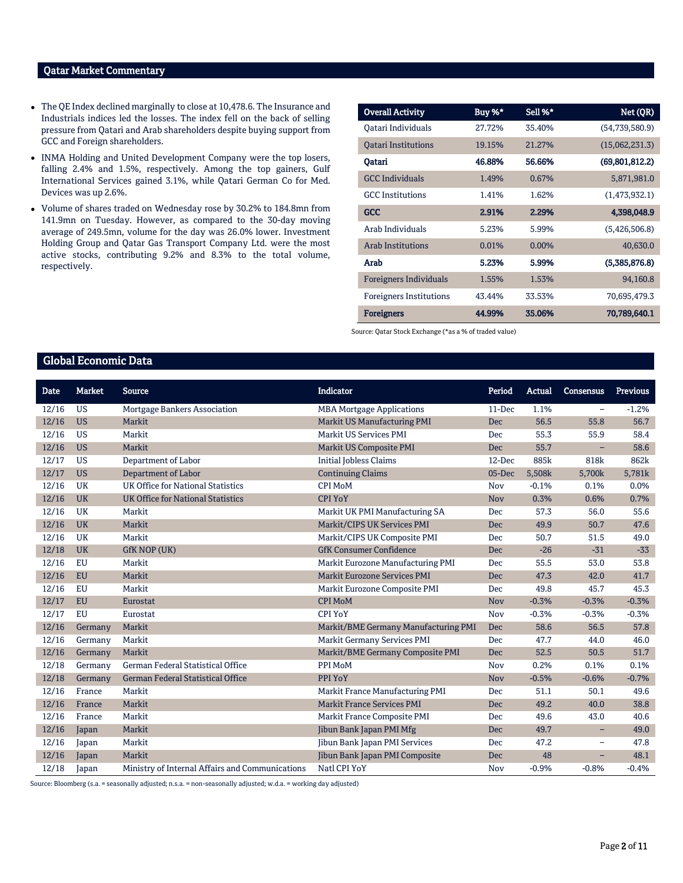## Qatar Market Commentary

- The QE Index declined marginally to close at 10,478.6. The Insurance and Industrials indices led the losses. The index fell on the back of selling pressure from Qatari and Arab shareholders despite buying support from GCC and Foreign shareholders.
- INMA Holding and United Development Company were the top losers, falling 2.4% and 1.5%, respectively. Among the top gainers, Gulf International Services gained 3.1%, while Qatari German Co for Med. Devices was up 2.6%.
- Volume of shares traded on Wednesday rose by 30.2% to 184.8mn from 141.9mn on Tuesday. However, as compared to the 30-day moving average of 249.5mn, volume for the day was 26.0% lower. Investment Holding Group and Qatar Gas Transport Company Ltd. were the most active stocks, contributing 9.2% and 8.3% to the total volume, respectively.

| <b>Overall Activity</b>        | Buy %* | Sell %* | Net (QR)       |
|--------------------------------|--------|---------|----------------|
| Oatari Individuals             | 27.72% | 35.40%  | (54,739,580.9) |
| <b>Oatari Institutions</b>     | 19.15% | 21.27%  | (15,062,231.3) |
| Oatari                         | 46.88% | 56.66%  | (69,801,812.2) |
| <b>GCC Individuals</b>         | 1.49%  | 0.67%   | 5,871,981.0    |
| <b>GCC</b> Institutions        | 1.41%  | 1.62%   | (1,473,932,1)  |
| <b>GCC</b>                     | 2.91%  | 2.29%   | 4,398,048.9    |
| Arab Individuals               | 5.23%  | 5.99%   | (5,426,506.8)  |
| <b>Arab Institutions</b>       | 0.01%  | 0.00%   | 40,630.0       |
| Arab                           | 5.23%  | 5.99%   | (5,385,876.8)  |
| <b>Foreigners Individuals</b>  | 1.55%  | 1.53%   | 94,160.8       |
| <b>Foreigners Institutions</b> | 43.44% | 33.53%  | 70,695,479.3   |
| <b>Foreigners</b>              | 44.99% | 35.06%  | 70,789,640.1   |

Source: Qatar Stock Exchange (\*as a % of traded value)

## Global Economic Data

| <b>Date</b> | <b>Market</b> | <b>Source</b>                                   | <b>Indicator</b>                        | Period     | Actual  | <b>Consensus</b>         | <b>Previous</b> |
|-------------|---------------|-------------------------------------------------|-----------------------------------------|------------|---------|--------------------------|-----------------|
| 12/16       | US            | Mortgage Bankers Association                    | <b>MBA Mortgage Applications</b>        | 11-Dec     | 1.1%    | $\overline{\phantom{m}}$ | $-1.2%$         |
| 12/16       | <b>US</b>     | Markit                                          | <b>Markit US Manufacturing PMI</b>      | <b>Dec</b> | 56.5    | 55.8                     | 56.7            |
| 12/16       | US            | Markit                                          | Markit US Services PMI                  | Dec        | 55.3    | 55.9                     | 58.4            |
| 12/16       | <b>US</b>     | Markit                                          | <b>Markit US Composite PMI</b>          | <b>Dec</b> | 55.7    | -                        | 58.6            |
| 12/17       | <b>US</b>     | Department of Labor                             | <b>Initial Jobless Claims</b>           | 12-Dec     | 885k    | 818k                     | 862k            |
| 12/17       | <b>US</b>     | Department of Labor                             | <b>Continuing Claims</b>                | 05-Dec     | 5,508k  | 5,700k                   | 5,781k          |
| 12/16       | UK            | UK Office for National Statistics               | CPI MoM                                 | Nov        | $-0.1%$ | 0.1%                     | 0.0%            |
| 12/16       | <b>UK</b>     | UK Office for National Statistics               | <b>CPI YoY</b>                          | <b>Nov</b> | 0.3%    | 0.6%                     | 0.7%            |
| 12/16       | <b>UK</b>     | Markit                                          | Markit UK PMI Manufacturing SA          | Dec        | 57.3    | 56.0                     | 55.6            |
| 12/16       | <b>UK</b>     | Markit                                          | Markit/CIPS UK Services PMI             | <b>Dec</b> | 49.9    | 50.7                     | 47.6            |
| 12/16       | <b>UK</b>     | Markit                                          | Markit/CIPS UK Composite PMI            | Dec        | 50.7    | 51.5                     | 49.0            |
| 12/18       | <b>UK</b>     | <b>GfK NOP (UK)</b>                             | <b>GfK Consumer Confidence</b>          | Dec        | $-26$   | $-31$                    | $-33$           |
| 12/16       | EU            | Markit                                          | Markit Eurozone Manufacturing PMI       | Dec        | 55.5    | 53.0                     | 53.8            |
| 12/16       | EU            | Markit                                          | <b>Markit Eurozone Services PMI</b>     | Dec        | 47.3    | 42.0                     | 41.7            |
| 12/16       | EU            | Markit                                          | Markit Eurozone Composite PMI           | Dec        | 49.8    | 45.7                     | 45.3            |
| 12/17       | <b>EU</b>     | Eurostat                                        | <b>CPI MoM</b>                          | <b>Nov</b> | $-0.3%$ | $-0.3%$                  | $-0.3%$         |
| 12/17       | EU            | Eurostat                                        | <b>CPI YoY</b>                          | <b>Nov</b> | $-0.3%$ | $-0.3%$                  | $-0.3%$         |
| 12/16       | Germany       | Markit                                          | Markit/BME Germany Manufacturing PMI    | <b>Dec</b> | 58.6    | 56.5                     | 57.8            |
| 12/16       | Germany       | Markit                                          | Markit Germany Services PMI             | Dec        | 47.7    | 44.0                     | 46.0            |
| 12/16       | Germany       | Markit                                          | <b>Markit/BME Germany Composite PMI</b> | <b>Dec</b> | 52.5    | 50.5                     | 51.7            |
| 12/18       | Germany       | German Federal Statistical Office               | PPI MoM                                 | Nov        | 0.2%    | 0.1%                     | 0.1%            |
| 12/18       | Germany       | German Federal Statistical Office               | PPI YoY                                 | <b>Nov</b> | $-0.5%$ | $-0.6%$                  | $-0.7%$         |
| 12/16       | France        | Markit                                          | Markit France Manufacturing PMI         | Dec        | 51.1    | 50.1                     | 49.6            |
| 12/16       | France        | Markit                                          | <b>Markit France Services PMI</b>       | <b>Dec</b> | 49.2    | 40.0                     | 38.8            |
| 12/16       | France        | Markit                                          | Markit France Composite PMI             | Dec        | 49.6    | 43.0                     | 40.6            |
| 12/16       | Japan         | Markit                                          | Jibun Bank Japan PMI Mfg                | <b>Dec</b> | 49.7    | $\qquad \qquad -$        | 49.0            |
| 12/16       | Japan         | Markit                                          | Jibun Bank Japan PMI Services           | Dec        | 47.2    | $\overline{\phantom{m}}$ | 47.8            |
| 12/16       | Japan         | Markit                                          | Jibun Bank Japan PMI Composite          | <b>Dec</b> | 48      | $\overline{\phantom{0}}$ | 48.1            |
| 12/18       | Japan         | Ministry of Internal Affairs and Communications | Natl CPI YoY                            | Nov        | $-0.9%$ | $-0.8%$                  | $-0.4%$         |

Source: Bloomberg (s.a. = seasonally adjusted; n.s.a. = non-seasonally adjusted; w.d.a. = working day adjusted)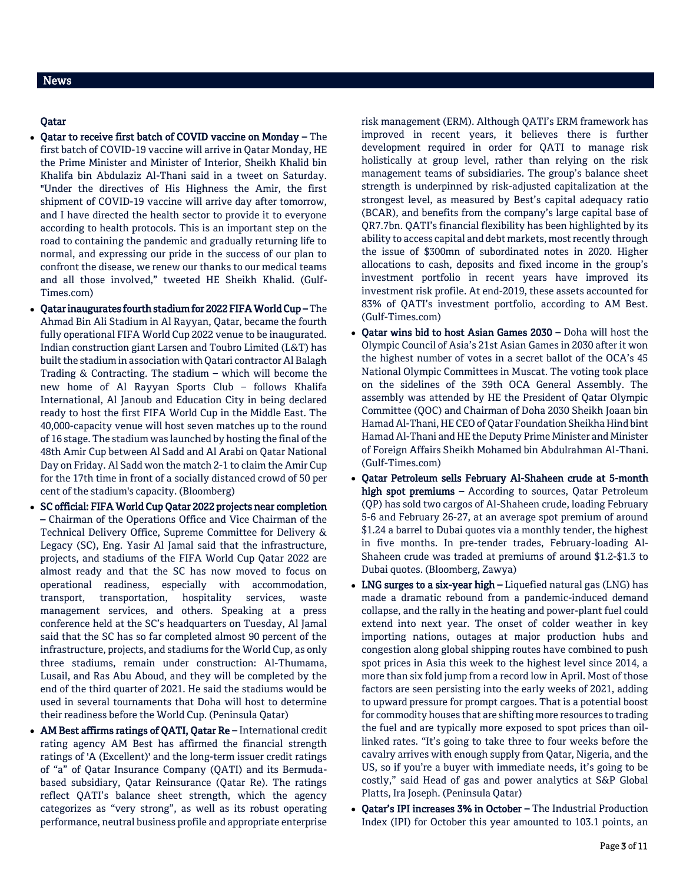### Qatar

- Qatar to receive first batch of COVID vaccine on Monday The first batch of COVID-19 vaccine will arrive in Qatar Monday, HE the Prime Minister and Minister of Interior, Sheikh Khalid bin Khalifa bin Abdulaziz Al-Thani said in a tweet on Saturday. "Under the directives of His Highness the Amir, the first shipment of COVID-19 vaccine will arrive day after tomorrow, and I have directed the health sector to provide it to everyone according to health protocols. This is an important step on the road to containing the pandemic and gradually returning life to normal, and expressing our pride in the success of our plan to confront the disease, we renew our thanks to our medical teams and all those involved," tweeted HE Sheikh Khalid. (Gulf-Times.com)
- Qatar inaugurates fourth stadium for 2022 FIFA World Cup The Ahmad Bin Ali Stadium in Al Rayyan, Qatar, became the fourth fully operational FIFA World Cup 2022 venue to be inaugurated. Indian construction giant Larsen and Toubro Limited (L&T) has built the stadium in association with Qatari contractor Al Balagh Trading & Contracting. The stadium – which will become the new home of Al Rayyan Sports Club – follows Khalifa International, Al Janoub and Education City in being declared ready to host the first FIFA World Cup in the Middle East. The 40,000-capacity venue will host seven matches up to the round of 16 stage. The stadium was launched by hosting the final of the 48th Amir Cup between Al Sadd and Al Arabi on Qatar National Day on Friday. Al Sadd won the match 2-1 to claim the Amir Cup for the 17th time in front of a socially distanced crowd of 50 per cent of the stadium's capacity. (Bloomberg)
- SC official: FIFA World Cup Qatar 2022 projects near completion – Chairman of the Operations Office and Vice Chairman of the Technical Delivery Office, Supreme Committee for Delivery & Legacy (SC), Eng. Yasir Al Jamal said that the infrastructure, projects, and stadiums of the FIFA World Cup Qatar 2022 are almost ready and that the SC has now moved to focus on operational readiness, especially with accommodation, transport, transportation, hospitality services, waste management services, and others. Speaking at a press conference held at the SC's headquarters on Tuesday, Al Jamal said that the SC has so far completed almost 90 percent of the infrastructure, projects, and stadiums for the World Cup, as only three stadiums, remain under construction: Al-Thumama, Lusail, and Ras Abu Aboud, and they will be completed by the end of the third quarter of 2021. He said the stadiums would be used in several tournaments that Doha will host to determine their readiness before the World Cup. (Peninsula Qatar)
- AM Best affirms ratings of QATI, Qatar Re International credit rating agency AM Best has affirmed the financial strength ratings of 'A (Excellent)' and the long-term issuer credit ratings of "a" of Qatar Insurance Company (QATI) and its Bermudabased subsidiary, Qatar Reinsurance (Qatar Re). The ratings reflect QATI's balance sheet strength, which the agency categorizes as "very strong", as well as its robust operating performance, neutral business profile and appropriate enterprise

risk management (ERM). Although QATI's ERM framework has improved in recent years, it believes there is further development required in order for QATI to manage risk holistically at group level, rather than relying on the risk management teams of subsidiaries. The group's balance sheet strength is underpinned by risk-adjusted capitalization at the strongest level, as measured by Best's capital adequacy ratio (BCAR), and benefits from the company's large capital base of QR7.7bn. QATI's financial flexibility has been highlighted by its ability to access capital and debt markets, most recently through the issue of \$300mn of subordinated notes in 2020. Higher allocations to cash, deposits and fixed income in the group's investment portfolio in recent years have improved its investment risk profile. At end-2019, these assets accounted for 83% of QATI's investment portfolio, according to AM Best. (Gulf-Times.com)

- Qatar wins bid to host Asian Games 2030 Doha will host the Olympic Council of Asia's 21st Asian Games in 2030 after it won the highest number of votes in a secret ballot of the OCA's 45 National Olympic Committees in Muscat. The voting took place on the sidelines of the 39th OCA General Assembly. The assembly was attended by HE the President of Qatar Olympic Committee (QOC) and Chairman of Doha 2030 Sheikh Joaan bin Hamad Al-Thani, HE CEO of Qatar Foundation Sheikha Hind bint Hamad Al-Thani and HE the Deputy Prime Minister and Minister of Foreign Affairs Sheikh Mohamed bin Abdulrahman Al-Thani. (Gulf-Times.com)
- Qatar Petroleum sells February Al-Shaheen crude at 5-month high spot premiums - According to sources, Qatar Petroleum (QP) has sold two cargos of Al-Shaheen crude, loading February 5-6 and February 26-27, at an average spot premium of around \$1.24 a barrel to Dubai quotes via a monthly tender, the highest in five months. In pre-tender trades, February-loading Al-Shaheen crude was traded at premiums of around \$1.2-\$1.3 to Dubai quotes. (Bloomberg, Zawya)
- LNG surges to a six-year high Liquefied natural gas (LNG) has made a dramatic rebound from a pandemic-induced demand collapse, and the rally in the heating and power-plant fuel could extend into next year. The onset of colder weather in key importing nations, outages at major production hubs and congestion along global shipping routes have combined to push spot prices in Asia this week to the highest level since 2014, a more than six fold jump from a record low in April. Most of those factors are seen persisting into the early weeks of 2021, adding to upward pressure for prompt cargoes. That is a potential boost for commodity houses that are shifting more resources to trading the fuel and are typically more exposed to spot prices than oillinked rates. "It's going to take three to four weeks before the cavalry arrives with enough supply from Qatar, Nigeria, and the US, so if you're a buyer with immediate needs, it's going to be costly," said Head of gas and power analytics at S&P Global Platts, Ira Joseph. (Peninsula Qatar)
- Qatar's IPI increases 3% in October The Industrial Production Index (IPI) for October this year amounted to 103.1 points, an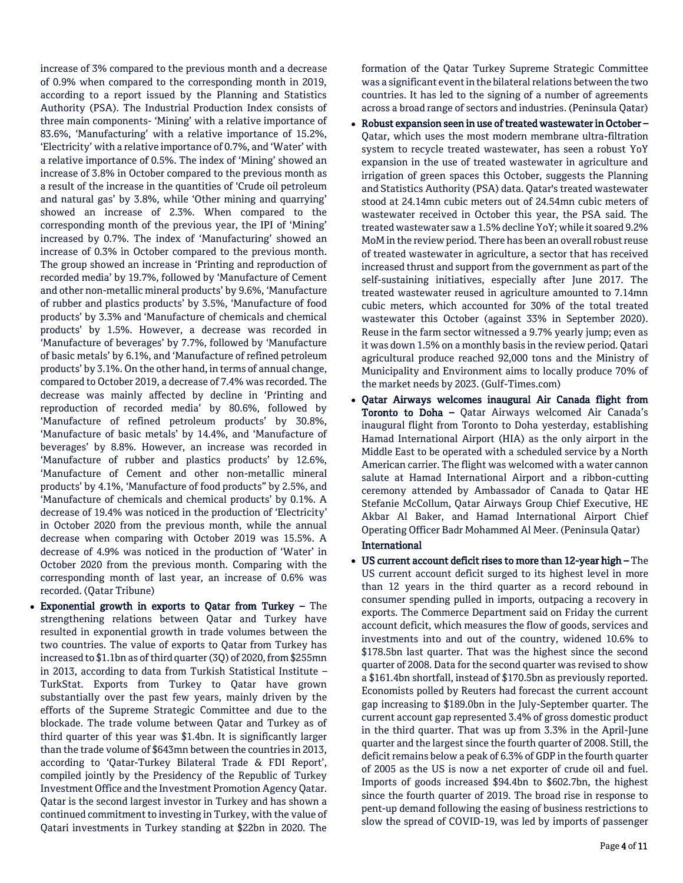increase of 3% compared to the previous month and a decrease of 0.9% when compared to the corresponding month in 2019, according to a report issued by the Planning and Statistics Authority (PSA). The Industrial Production Index consists of three main components- 'Mining' with a relative importance of 83.6%, 'Manufacturing' with a relative importance of 15.2%, 'Electricity' with a relative importance of 0.7%, and 'Water' with a relative importance of 0.5%. The index of 'Mining' showed an increase of 3.8% in October compared to the previous month as a result of the increase in the quantities of 'Crude oil petroleum and natural gas' by 3.8%, while 'Other mining and quarrying' showed an increase of 2.3%. When compared to the corresponding month of the previous year, the IPI of 'Mining' increased by 0.7%. The index of 'Manufacturing' showed an increase of 0.3% in October compared to the previous month. The group showed an increase in 'Printing and reproduction of recorded media' by 19.7%, followed by 'Manufacture of Cement and other non-metallic mineral products' by 9.6%, 'Manufacture of rubber and plastics products' by 3.5%, 'Manufacture of food products' by 3.3% and 'Manufacture of chemicals and chemical products' by 1.5%. However, a decrease was recorded in 'Manufacture of beverages' by 7.7%, followed by 'Manufacture of basic metals' by 6.1%, and 'Manufacture of refined petroleum products' by 3.1%. On the other hand, in terms of annual change, compared to October 2019, a decrease of 7.4% was recorded. The decrease was mainly affected by decline in 'Printing and reproduction of recorded media' by 80.6%, followed by 'Manufacture of refined petroleum products' by 30.8%, 'Manufacture of basic metals' by 14.4%, and 'Manufacture of beverages' by 8.8%. However, an increase was recorded in 'Manufacture of rubber and plastics products' by 12.6%, 'Manufacture of Cement and other non-metallic mineral products' by 4.1%, 'Manufacture of food products" by 2.5%, and 'Manufacture of chemicals and chemical products' by 0.1%. A decrease of 19.4% was noticed in the production of 'Electricity' in October 2020 from the previous month, while the annual decrease when comparing with October 2019 was 15.5%. A decrease of 4.9% was noticed in the production of 'Water' in October 2020 from the previous month. Comparing with the corresponding month of last year, an increase of 0.6% was recorded. (Qatar Tribune)

 Exponential growth in exports to Qatar from Turkey – The strengthening relations between Qatar and Turkey have resulted in exponential growth in trade volumes between the two countries. The value of exports to Qatar from Turkey has increased to \$1.1bn as of third quarter (3Q) of 2020, from \$255mn in 2013, according to data from Turkish Statistical Institute – TurkStat. Exports from Turkey to Qatar have grown substantially over the past few years, mainly driven by the efforts of the Supreme Strategic Committee and due to the blockade. The trade volume between Qatar and Turkey as of third quarter of this year was \$1.4bn. It is significantly larger than the trade volume of \$643mn between the countries in 2013, according to 'Qatar-Turkey Bilateral Trade & FDI Report', compiled jointly by the Presidency of the Republic of Turkey Investment Office and the Investment Promotion Agency Qatar. Qatar is the second largest investor in Turkey and has shown a continued commitment to investing in Turkey, with the value of Qatari investments in Turkey standing at \$22bn in 2020. The

formation of the Qatar Turkey Supreme Strategic Committee was a significant event in the bilateral relations between the two countries. It has led to the signing of a number of agreements across a broad range of sectors and industries. (Peninsula Qatar)

- Robust expansion seen in use of treated wastewater in October Qatar, which uses the most modern membrane ultra-filtration system to recycle treated wastewater, has seen a robust YoY expansion in the use of treated wastewater in agriculture and irrigation of green spaces this October, suggests the Planning and Statistics Authority (PSA) data. Qatar's treated wastewater stood at 24.14mn cubic meters out of 24.54mn cubic meters of wastewater received in October this year, the PSA said. The treated wastewater saw a 1.5% decline YoY; while it soared 9.2% MoM in the review period. There has been an overall robust reuse of treated wastewater in agriculture, a sector that has received increased thrust and support from the government as part of the self-sustaining initiatives, especially after June 2017. The treated wastewater reused in agriculture amounted to 7.14mn cubic meters, which accounted for 30% of the total treated wastewater this October (against 33% in September 2020). Reuse in the farm sector witnessed a 9.7% yearly jump; even as it was down 1.5% on a monthly basis in the review period. Qatari agricultural produce reached 92,000 tons and the Ministry of Municipality and Environment aims to locally produce 70% of the market needs by 2023. (Gulf-Times.com)
- Qatar Airways welcomes inaugural Air Canada flight from Toronto to Doha – Qatar Airways welcomed Air Canada's inaugural flight from Toronto to Doha yesterday, establishing Hamad International Airport (HIA) as the only airport in the Middle East to be operated with a scheduled service by a North American carrier. The flight was welcomed with a water cannon salute at Hamad International Airport and a ribbon-cutting ceremony attended by Ambassador of Canada to Qatar HE Stefanie McCollum, Qatar Airways Group Chief Executive, HE Akbar Al Baker, and Hamad International Airport Chief Operating Officer Badr Mohammed Al Meer. (Peninsula Qatar)

## International

 US current account deficit rises to more than 12-year high – The US current account deficit surged to its highest level in more than 12 years in the third quarter as a record rebound in consumer spending pulled in imports, outpacing a recovery in exports. The Commerce Department said on Friday the current account deficit, which measures the flow of goods, services and investments into and out of the country, widened 10.6% to \$178.5bn last quarter. That was the highest since the second quarter of 2008. Data for the second quarter was revised to show a \$161.4bn shortfall, instead of \$170.5bn as previously reported. Economists polled by Reuters had forecast the current account gap increasing to \$189.0bn in the July-September quarter. The current account gap represented 3.4% of gross domestic product in the third quarter. That was up from 3.3% in the April-June quarter and the largest since the fourth quarter of 2008. Still, the deficit remains below a peak of 6.3% of GDP in the fourth quarter of 2005 as the US is now a net exporter of crude oil and fuel. Imports of goods increased \$94.4bn to \$602.7bn, the highest since the fourth quarter of 2019. The broad rise in response to pent-up demand following the easing of business restrictions to slow the spread of COVID-19, was led by imports of passenger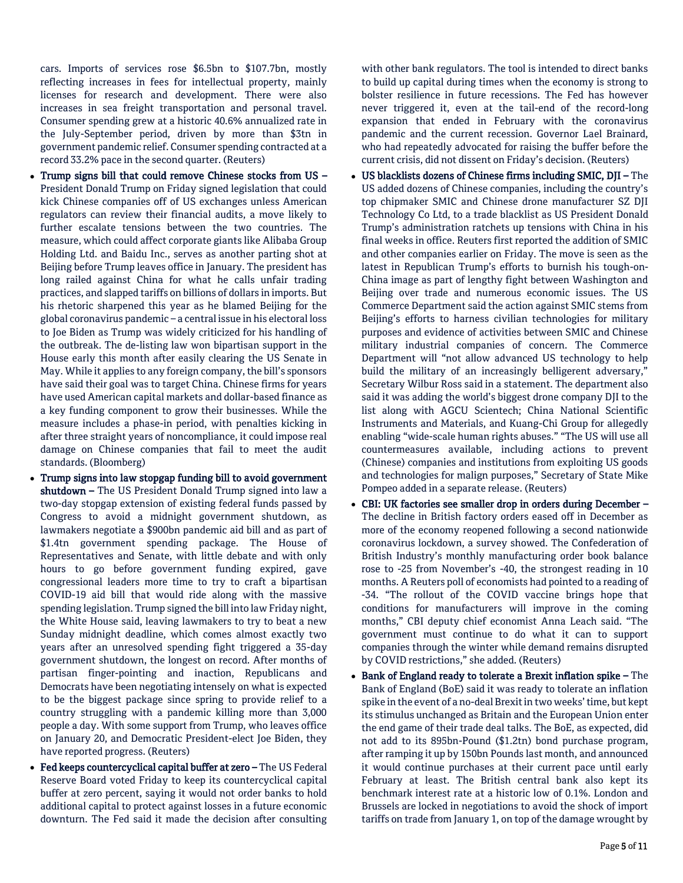cars. Imports of services rose \$6.5bn to \$107.7bn, mostly reflecting increases in fees for intellectual property, mainly licenses for research and development. There were also increases in sea freight transportation and personal travel. Consumer spending grew at a historic 40.6% annualized rate in the July-September period, driven by more than \$3tn in government pandemic relief. Consumer spending contracted at a record 33.2% pace in the second quarter. (Reuters)

- Trump signs bill that could remove Chinese stocks from US President Donald Trump on Friday signed legislation that could kick Chinese companies off of US exchanges unless American regulators can review their financial audits, a move likely to further escalate tensions between the two countries. The measure, which could affect corporate giants like Alibaba Group Holding Ltd. and Baidu Inc., serves as another parting shot at Beijing before Trump leaves office in January. The president has long railed against China for what he calls unfair trading practices, and slapped tariffs on billions of dollars in imports. But his rhetoric sharpened this year as he blamed Beijing for the global coronavirus pandemic – a central issue in his electoral loss to Joe Biden as Trump was widely criticized for his handling of the outbreak. The de-listing law won bipartisan support in the House early this month after easily clearing the US Senate in May. While it applies to any foreign company, the bill's sponsors have said their goal was to target China. Chinese firms for years have used American capital markets and dollar-based finance as a key funding component to grow their businesses. While the measure includes a phase-in period, with penalties kicking in after three straight years of noncompliance, it could impose real damage on Chinese companies that fail to meet the audit standards. (Bloomberg)
- Trump signs into law stopgap funding bill to avoid government shutdown - The US President Donald Trump signed into law a two-day stopgap extension of existing federal funds passed by Congress to avoid a midnight government shutdown, as lawmakers negotiate a \$900bn pandemic aid bill and as part of \$1.4tn government spending package. The House of Representatives and Senate, with little debate and with only hours to go before government funding expired, gave congressional leaders more time to try to craft a bipartisan COVID-19 aid bill that would ride along with the massive spending legislation. Trump signed the bill into law Friday night, the White House said, leaving lawmakers to try to beat a new Sunday midnight deadline, which comes almost exactly two years after an unresolved spending fight triggered a 35-day government shutdown, the longest on record. After months of partisan finger-pointing and inaction, Republicans and Democrats have been negotiating intensely on what is expected to be the biggest package since spring to provide relief to a country struggling with a pandemic killing more than 3,000 people a day. With some support from Trump, who leaves office on January 20, and Democratic President-elect Joe Biden, they have reported progress. (Reuters)
- Fed keeps countercyclical capital buffer at zero The US Federal Reserve Board voted Friday to keep its countercyclical capital buffer at zero percent, saying it would not order banks to hold additional capital to protect against losses in a future economic downturn. The Fed said it made the decision after consulting

with other bank regulators. The tool is intended to direct banks to build up capital during times when the economy is strong to bolster resilience in future recessions. The Fed has however never triggered it, even at the tail-end of the record-long expansion that ended in February with the coronavirus pandemic and the current recession. Governor Lael Brainard, who had repeatedly advocated for raising the buffer before the current crisis, did not dissent on Friday's decision. (Reuters)

- US blacklists dozens of Chinese firms including SMIC, DJI The US added dozens of Chinese companies, including the country's top chipmaker SMIC and Chinese drone manufacturer SZ DJI Technology Co Ltd, to a trade blacklist as US President Donald Trump's administration ratchets up tensions with China in his final weeks in office. Reuters first reported the addition of SMIC and other companies earlier on Friday. The move is seen as the latest in Republican Trump's efforts to burnish his tough-on-China image as part of lengthy fight between Washington and Beijing over trade and numerous economic issues. The US Commerce Department said the action against SMIC stems from Beijing's efforts to harness civilian technologies for military purposes and evidence of activities between SMIC and Chinese military industrial companies of concern. The Commerce Department will "not allow advanced US technology to help build the military of an increasingly belligerent adversary," Secretary Wilbur Ross said in a statement. The department also said it was adding the world's biggest drone company DJI to the list along with AGCU Scientech; China National Scientific Instruments and Materials, and Kuang-Chi Group for allegedly enabling "wide-scale human rights abuses." "The US will use all countermeasures available, including actions to prevent (Chinese) companies and institutions from exploiting US goods and technologies for malign purposes," Secretary of State Mike Pompeo added in a separate release. (Reuters)
- CBI: UK factories see smaller drop in orders during December The decline in British factory orders eased off in December as more of the economy reopened following a second nationwide coronavirus lockdown, a survey showed. The Confederation of British Industry's monthly manufacturing order book balance rose to -25 from November's -40, the strongest reading in 10 months. A Reuters poll of economists had pointed to a reading of -34. "The rollout of the COVID vaccine brings hope that conditions for manufacturers will improve in the coming months," CBI deputy chief economist Anna Leach said. "The government must continue to do what it can to support companies through the winter while demand remains disrupted by COVID restrictions," she added. (Reuters)
- Bank of England ready to tolerate a Brexit inflation spike The Bank of England (BoE) said it was ready to tolerate an inflation spike in the event of a no-deal Brexit in two weeks' time, but kept its stimulus unchanged as Britain and the European Union enter the end game of their trade deal talks. The BoE, as expected, did not add to its 895bn-Pound (\$1.2tn) bond purchase program, after ramping it up by 150bn Pounds last month, and announced it would continue purchases at their current pace until early February at least. The British central bank also kept its benchmark interest rate at a historic low of 0.1%. London and Brussels are locked in negotiations to avoid the shock of import tariffs on trade from January 1, on top of the damage wrought by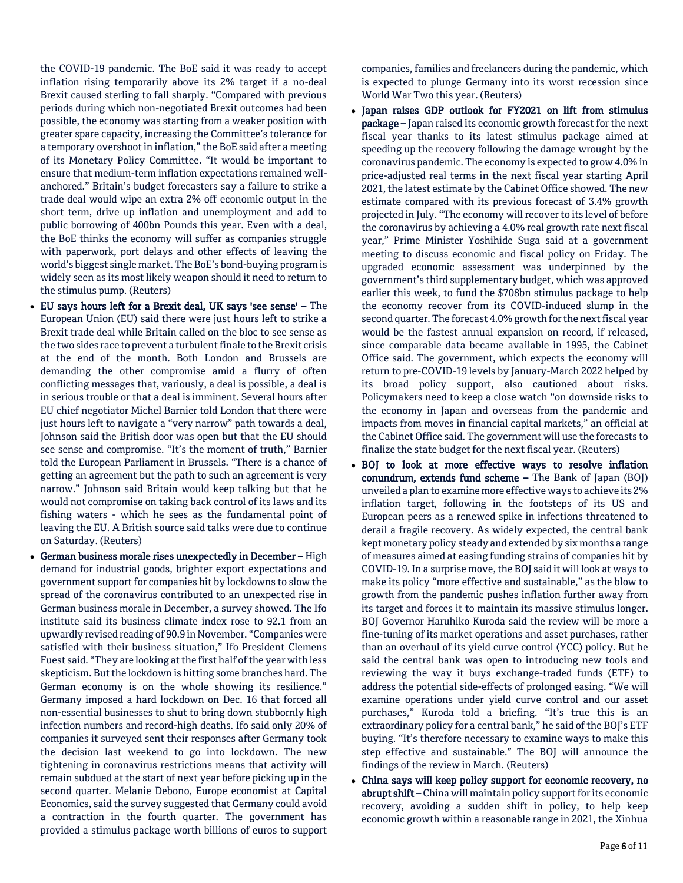the COVID-19 pandemic. The BoE said it was ready to accept inflation rising temporarily above its 2% target if a no-deal Brexit caused sterling to fall sharply. "Compared with previous periods during which non-negotiated Brexit outcomes had been possible, the economy was starting from a weaker position with greater spare capacity, increasing the Committee's tolerance for a temporary overshoot in inflation," the BoE said after a meeting of its Monetary Policy Committee. "It would be important to ensure that medium-term inflation expectations remained wellanchored." Britain's budget forecasters say a failure to strike a trade deal would wipe an extra 2% off economic output in the short term, drive up inflation and unemployment and add to public borrowing of 400bn Pounds this year. Even with a deal, the BoE thinks the economy will suffer as companies struggle with paperwork, port delays and other effects of leaving the world's biggest single market. The BoE's bond-buying program is widely seen as its most likely weapon should it need to return to the stimulus pump. (Reuters)

- EU says hours left for a Brexit deal, UK says 'see sense' The European Union (EU) said there were just hours left to strike a Brexit trade deal while Britain called on the bloc to see sense as the two sides race to prevent a turbulent finale to the Brexit crisis at the end of the month. Both London and Brussels are demanding the other compromise amid a flurry of often conflicting messages that, variously, a deal is possible, a deal is in serious trouble or that a deal is imminent. Several hours after EU chief negotiator Michel Barnier told London that there were just hours left to navigate a "very narrow" path towards a deal, Johnson said the British door was open but that the EU should see sense and compromise. "It's the moment of truth," Barnier told the European Parliament in Brussels. "There is a chance of getting an agreement but the path to such an agreement is very narrow." Johnson said Britain would keep talking but that he would not compromise on taking back control of its laws and its fishing waters - which he sees as the fundamental point of leaving the EU. A British source said talks were due to continue on Saturday. (Reuters)
- German business morale rises unexpectedly in December High demand for industrial goods, brighter export expectations and government support for companies hit by lockdowns to slow the spread of the coronavirus contributed to an unexpected rise in German business morale in December, a survey showed. The Ifo institute said its business climate index rose to 92.1 from an upwardly revised reading of 90.9 in November. "Companies were satisfied with their business situation," Ifo President Clemens Fuest said. "They are looking at the first half of the year with less skepticism. But the lockdown is hitting some branches hard. The German economy is on the whole showing its resilience." Germany imposed a hard lockdown on Dec. 16 that forced all non-essential businesses to shut to bring down stubbornly high infection numbers and record-high deaths. Ifo said only 20% of companies it surveyed sent their responses after Germany took the decision last weekend to go into lockdown. The new tightening in coronavirus restrictions means that activity will remain subdued at the start of next year before picking up in the second quarter. Melanie Debono, Europe economist at Capital Economics, said the survey suggested that Germany could avoid a contraction in the fourth quarter. The government has provided a stimulus package worth billions of euros to support

companies, families and freelancers during the pandemic, which is expected to plunge Germany into its worst recession since World War Two this year. (Reuters)

- Japan raises GDP outlook for FY2021 on lift from stimulus package – Japan raised its economic growth forecast for the next fiscal year thanks to its latest stimulus package aimed at speeding up the recovery following the damage wrought by the coronavirus pandemic. The economy is expected to grow 4.0% in price-adjusted real terms in the next fiscal year starting April 2021, the latest estimate by the Cabinet Office showed. The new estimate compared with its previous forecast of 3.4% growth projected in July. "The economy will recover to its level of before the coronavirus by achieving a 4.0% real growth rate next fiscal year," Prime Minister Yoshihide Suga said at a government meeting to discuss economic and fiscal policy on Friday. The upgraded economic assessment was underpinned by the government's third supplementary budget, which was approved earlier this week, to fund the \$708bn stimulus package to help the economy recover from its COVID-induced slump in the second quarter. The forecast 4.0% growth for the next fiscal year would be the fastest annual expansion on record, if released, since comparable data became available in 1995, the Cabinet Office said. The government, which expects the economy will return to pre-COVID-19 levels by January-March 2022 helped by its broad policy support, also cautioned about risks. Policymakers need to keep a close watch "on downside risks to the economy in Japan and overseas from the pandemic and impacts from moves in financial capital markets," an official at the Cabinet Office said. The government will use the forecasts to finalize the state budget for the next fiscal year. (Reuters)
- BOJ to look at more effective ways to resolve inflation conundrum, extends fund scheme – The Bank of Japan (BOJ) unveiled a plan to examine more effective ways to achieve its 2% inflation target, following in the footsteps of its US and European peers as a renewed spike in infections threatened to derail a fragile recovery. As widely expected, the central bank kept monetary policy steady and extended by six months a range of measures aimed at easing funding strains of companies hit by COVID-19. In a surprise move, the BOJ said it will look at ways to make its policy "more effective and sustainable," as the blow to growth from the pandemic pushes inflation further away from its target and forces it to maintain its massive stimulus longer. BOJ Governor Haruhiko Kuroda said the review will be more a fine-tuning of its market operations and asset purchases, rather than an overhaul of its yield curve control (YCC) policy. But he said the central bank was open to introducing new tools and reviewing the way it buys exchange-traded funds (ETF) to address the potential side-effects of prolonged easing. "We will examine operations under yield curve control and our asset purchases," Kuroda told a briefing. "It's true this is an extraordinary policy for a central bank," he said of the BOJ's ETF buying. "It's therefore necessary to examine ways to make this step effective and sustainable." The BOJ will announce the findings of the review in March. (Reuters)
- China says will keep policy support for economic recovery, no abrupt shift – China will maintain policy support for its economic recovery, avoiding a sudden shift in policy, to help keep economic growth within a reasonable range in 2021, the Xinhua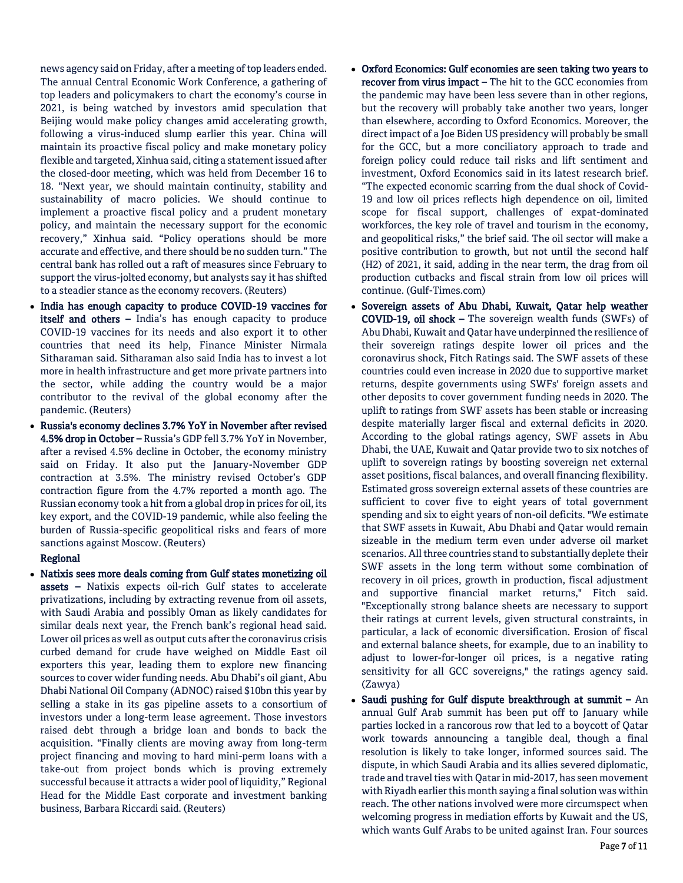news agency said on Friday, after a meeting of top leaders ended. The annual Central Economic Work Conference, a gathering of top leaders and policymakers to chart the economy's course in 2021, is being watched by investors amid speculation that Beijing would make policy changes amid accelerating growth, following a virus-induced slump earlier this year. China will maintain its proactive fiscal policy and make monetary policy flexible and targeted, Xinhua said, citing a statement issued after the closed-door meeting, which was held from December 16 to 18. "Next year, we should maintain continuity, stability and sustainability of macro policies. We should continue to implement a proactive fiscal policy and a prudent monetary policy, and maintain the necessary support for the economic recovery," Xinhua said. "Policy operations should be more accurate and effective, and there should be no sudden turn." The central bank has rolled out a raft of measures since February to support the virus-jolted economy, but analysts say it has shifted to a steadier stance as the economy recovers. (Reuters)

- India has enough capacity to produce COVID-19 vaccines for itself and others - India's has enough capacity to produce COVID-19 vaccines for its needs and also export it to other countries that need its help, Finance Minister Nirmala Sitharaman said. Sitharaman also said India has to invest a lot more in health infrastructure and get more private partners into the sector, while adding the country would be a major contributor to the revival of the global economy after the pandemic. (Reuters)
- Russia's economy declines 3.7% YoY in November after revised 4.5% drop in October – Russia's GDP fell 3.7% YoY in November, after a revised 4.5% decline in October, the economy ministry said on Friday. It also put the January-November GDP contraction at 3.5%. The ministry revised October's GDP contraction figure from the 4.7% reported a month ago. The Russian economy took a hit from a global drop in prices for oil, its key export, and the COVID-19 pandemic, while also feeling the burden of Russia-specific geopolitical risks and fears of more sanctions against Moscow. (Reuters)

## Regional

 Natixis sees more deals coming from Gulf states monetizing oil assets – Natixis expects oil-rich Gulf states to accelerate privatizations, including by extracting revenue from oil assets, with Saudi Arabia and possibly Oman as likely candidates for similar deals next year, the French bank's regional head said. Lower oil prices as well as output cuts after the coronavirus crisis curbed demand for crude have weighed on Middle East oil exporters this year, leading them to explore new financing sources to cover wider funding needs. Abu Dhabi's oil giant, Abu Dhabi National Oil Company (ADNOC) raised \$10bn this year by selling a stake in its gas pipeline assets to a consortium of investors under a long-term lease agreement. Those investors raised debt through a bridge loan and bonds to back the acquisition. "Finally clients are moving away from long-term project financing and moving to hard mini-perm loans with a take-out from project bonds which is proving extremely successful because it attracts a wider pool of liquidity," Regional Head for the Middle East corporate and investment banking business, Barbara Riccardi said. (Reuters)

- Oxford Economics: Gulf economies are seen taking two years to recover from virus impact - The hit to the GCC economies from the pandemic may have been less severe than in other regions, but the recovery will probably take another two years, longer than elsewhere, according to Oxford Economics. Moreover, the direct impact of a Joe Biden US presidency will probably be small for the GCC, but a more conciliatory approach to trade and foreign policy could reduce tail risks and lift sentiment and investment, Oxford Economics said in its latest research brief. "The expected economic scarring from the dual shock of Covid-19 and low oil prices reflects high dependence on oil, limited scope for fiscal support, challenges of expat-dominated workforces, the key role of travel and tourism in the economy, and geopolitical risks," the brief said. The oil sector will make a positive contribution to growth, but not until the second half (H2) of 2021, it said, adding in the near term, the drag from oil production cutbacks and fiscal strain from low oil prices will continue. (Gulf-Times.com)
- Sovereign assets of Abu Dhabi, Kuwait, Qatar help weather COVID-19, oil shock – The sovereign wealth funds (SWFs) of Abu Dhabi, Kuwait and Qatar have underpinned the resilience of their sovereign ratings despite lower oil prices and the coronavirus shock, Fitch Ratings said. The SWF assets of these countries could even increase in 2020 due to supportive market returns, despite governments using SWFs' foreign assets and other deposits to cover government funding needs in 2020. The uplift to ratings from SWF assets has been stable or increasing despite materially larger fiscal and external deficits in 2020. According to the global ratings agency, SWF assets in Abu Dhabi, the UAE, Kuwait and Qatar provide two to six notches of uplift to sovereign ratings by boosting sovereign net external asset positions, fiscal balances, and overall financing flexibility. Estimated gross sovereign external assets of these countries are sufficient to cover five to eight years of total government spending and six to eight years of non-oil deficits. "We estimate that SWF assets in Kuwait, Abu Dhabi and Qatar would remain sizeable in the medium term even under adverse oil market scenarios. All three countries stand to substantially deplete their SWF assets in the long term without some combination of recovery in oil prices, growth in production, fiscal adjustment and supportive financial market returns," Fitch said. "Exceptionally strong balance sheets are necessary to support their ratings at current levels, given structural constraints, in particular, a lack of economic diversification. Erosion of fiscal and external balance sheets, for example, due to an inability to adjust to lower-for-longer oil prices, is a negative rating sensitivity for all GCC sovereigns," the ratings agency said. (Zawya)
- Saudi pushing for Gulf dispute breakthrough at summit An annual Gulf Arab summit has been put off to January while parties locked in a rancorous row that led to a boycott of Qatar work towards announcing a tangible deal, though a final resolution is likely to take longer, informed sources said. The dispute, in which Saudi Arabia and its allies severed diplomatic, trade and travel ties with Qatar in mid-2017, has seen movement with Riyadh earlier this month saying a final solution was within reach. The other nations involved were more circumspect when welcoming progress in mediation efforts by Kuwait and the US, which wants Gulf Arabs to be united against Iran. Four sources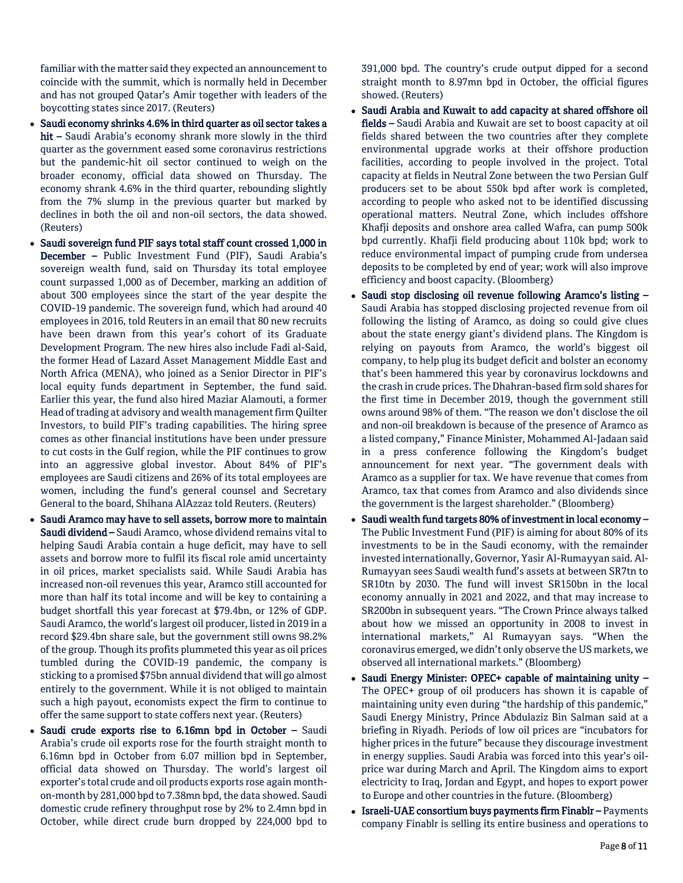familiar with the matter said they expected an announcement to coincide with the summit, which is normally held in December and has not grouped Qatar's Amir together with leaders of the boycotting states since 2017. (Reuters)

- Saudi economy shrinks 4.6% in third quarter as oil sector takes a hit – Saudi Arabia's economy shrank more slowly in the third quarter as the government eased some coronavirus restrictions but the pandemic-hit oil sector continued to weigh on the broader economy, official data showed on Thursday. The economy shrank 4.6% in the third quarter, rebounding slightly from the 7% slump in the previous quarter but marked by declines in both the oil and non-oil sectors, the data showed. (Reuters)
- Saudi sovereign fund PIF says total staff count crossed 1,000 in December – Public Investment Fund (PIF), Saudi Arabia's sovereign wealth fund, said on Thursday its total employee count surpassed 1,000 as of December, marking an addition of about 300 employees since the start of the year despite the COVID-19 pandemic. The sovereign fund, which had around 40 employees in 2016, told Reuters in an email that 80 new recruits have been drawn from this year's cohort of its Graduate Development Program. The new hires also include Fadi al-Said, the former Head of Lazard Asset Management Middle East and North Africa (MENA), who joined as a Senior Director in PIF's local equity funds department in September, the fund said. Earlier this year, the fund also hired Maziar Alamouti, a former Head of trading at advisory and wealth management firm Quilter Investors, to build PIF's trading capabilities. The hiring spree comes as other financial institutions have been under pressure to cut costs in the Gulf region, while the PIF continues to grow into an aggressive global investor. About 84% of PIF's employees are Saudi citizens and 26% of its total employees are women, including the fund's general counsel and Secretary General to the board, Shihana AlAzzaz told Reuters. (Reuters)
- Saudi Aramco may have to sell assets, borrow more to maintain Saudi dividend – Saudi Aramco, whose dividend remains vital to helping Saudi Arabia contain a huge deficit, may have to sell assets and borrow more to fulfil its fiscal role amid uncertainty in oil prices, market specialists said. While Saudi Arabia has increased non-oil revenues this year, Aramco still accounted for more than half its total income and will be key to containing a budget shortfall this year forecast at \$79.4bn, or 12% of GDP. Saudi Aramco, the world's largest oil producer, listed in 2019 in a record \$29.4bn share sale, but the government still owns 98.2% of the group. Though its profits plummeted this year as oil prices tumbled during the COVID-19 pandemic, the company is sticking to a promised \$75bn annual dividend that will go almost entirely to the government. While it is not obliged to maintain such a high payout, economists expect the firm to continue to offer the same support to state coffers next year. (Reuters)
- Saudi crude exports rise to 6.16mn bpd in October Saudi Arabia's crude oil exports rose for the fourth straight month to 6.16mn bpd in October from 6.07 million bpd in September, official data showed on Thursday. The world's largest oil exporter's total crude and oil products exports rose again monthon-month by 281,000 bpd to 7.38mn bpd, the data showed. Saudi domestic crude refinery throughput rose by 2% to 2.4mn bpd in October, while direct crude burn dropped by 224,000 bpd to

391,000 bpd. The country's crude output dipped for a second straight month to 8.97mn bpd in October, the official figures showed. (Reuters)

- Saudi Arabia and Kuwait to add capacity at shared offshore oil fields - Saudi Arabia and Kuwait are set to boost capacity at oil fields shared between the two countries after they complete environmental upgrade works at their offshore production facilities, according to people involved in the project. Total capacity at fields in Neutral Zone between the two Persian Gulf producers set to be about 550k bpd after work is completed, according to people who asked not to be identified discussing operational matters. Neutral Zone, which includes offshore Khafji deposits and onshore area called Wafra, can pump 500k bpd currently. Khafji field producing about 110k bpd; work to reduce environmental impact of pumping crude from undersea deposits to be completed by end of year; work will also improve efficiency and boost capacity. (Bloomberg)
- Saudi stop disclosing oil revenue following Aramco's listing Saudi Arabia has stopped disclosing projected revenue from oil following the listing of Aramco, as doing so could give clues about the state energy giant's dividend plans. The Kingdom is relying on payouts from Aramco, the world's biggest oil company, to help plug its budget deficit and bolster an economy that's been hammered this year by coronavirus lockdowns and the crash in crude prices. The Dhahran-based firm sold shares for the first time in December 2019, though the government still owns around 98% of them. "The reason we don't disclose the oil and non-oil breakdown is because of the presence of Aramco as a listed company," Finance Minister, Mohammed Al-Jadaan said in a press conference following the Kingdom's budget announcement for next year. "The government deals with Aramco as a supplier for tax. We have revenue that comes from Aramco, tax that comes from Aramco and also dividends since the government is the largest shareholder." (Bloomberg)
- Saudi wealth fund targets 80% of investment in local economy The Public Investment Fund (PIF) is aiming for about 80% of its investments to be in the Saudi economy, with the remainder invested internationally, Governor, Yasir Al-Rumayyan said. Al-Rumayyan sees Saudi wealth fund's assets at between SR7tn to SR10tn by 2030. The fund will invest SR150bn in the local economy annually in 2021 and 2022, and that may increase to SR200bn in subsequent years. "The Crown Prince always talked about how we missed an opportunity in 2008 to invest in international markets," Al Rumayyan says. "When the coronavirus emerged, we didn't only observe the US markets, we observed all international markets." (Bloomberg)
- Saudi Energy Minister: OPEC+ capable of maintaining unity The OPEC+ group of oil producers has shown it is capable of maintaining unity even during "the hardship of this pandemic," Saudi Energy Ministry, Prince Abdulaziz Bin Salman said at a briefing in Riyadh. Periods of low oil prices are "incubators for higher prices in the future" because they discourage investment in energy supplies. Saudi Arabia was forced into this year's oilprice war during March and April. The Kingdom aims to export electricity to Iraq, Jordan and Egypt, and hopes to export power to Europe and other countries in the future. (Bloomberg)
- Israeli-UAE consortium buys payments firm Finablr Payments company Finablr is selling its entire business and operations to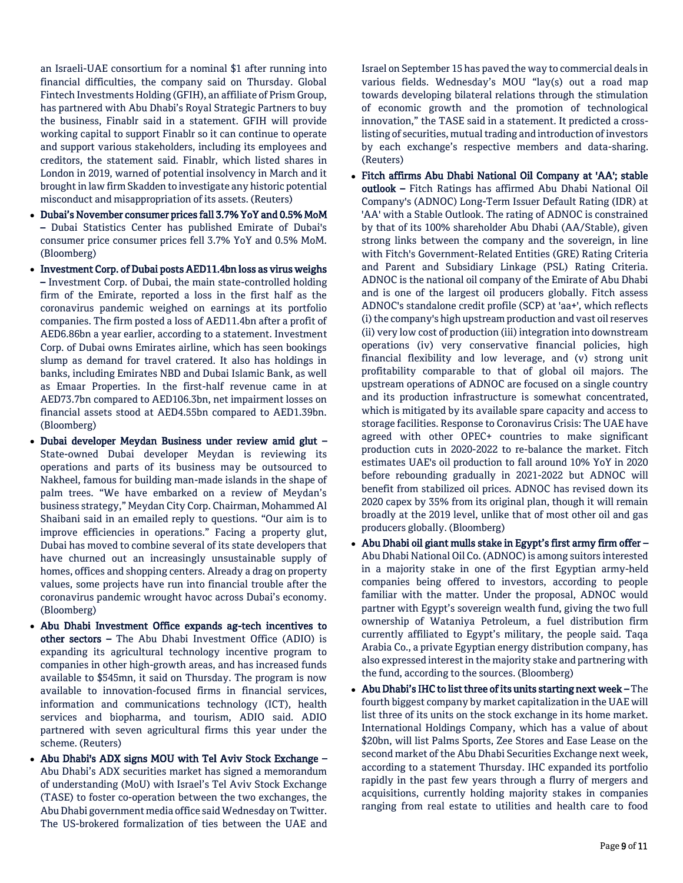an Israeli-UAE consortium for a nominal \$1 after running into financial difficulties, the company said on Thursday. Global Fintech Investments Holding (GFIH), an affiliate of Prism Group, has partnered with Abu Dhabi's Royal Strategic Partners to buy the business, Finablr said in a statement. GFIH will provide working capital to support Finablr so it can continue to operate and support various stakeholders, including its employees and creditors, the statement said. Finablr, which listed shares in London in 2019, warned of potential insolvency in March and it brought in law firm Skadden to investigate any historic potential misconduct and misappropriation of its assets. (Reuters)

- Dubai's November consumer prices fall 3.7% YoY and 0.5% MoM – Dubai Statistics Center has published Emirate of Dubai's consumer price consumer prices fell 3.7% YoY and 0.5% MoM. (Bloomberg)
- Investment Corp. of Dubai posts AED11.4bn loss as virus weighs – Investment Corp. of Dubai, the main state-controlled holding firm of the Emirate, reported a loss in the first half as the coronavirus pandemic weighed on earnings at its portfolio companies. The firm posted a loss of AED11.4bn after a profit of AED6.86bn a year earlier, according to a statement. Investment Corp. of Dubai owns Emirates airline, which has seen bookings slump as demand for travel cratered. It also has holdings in banks, including Emirates NBD and Dubai Islamic Bank, as well as Emaar Properties. In the first-half revenue came in at AED73.7bn compared to AED106.3bn, net impairment losses on financial assets stood at AED4.55bn compared to AED1.39bn. (Bloomberg)
- Dubai developer Meydan Business under review amid glut State-owned Dubai developer Meydan is reviewing its operations and parts of its business may be outsourced to Nakheel, famous for building man-made islands in the shape of palm trees. "We have embarked on a review of Meydan's business strategy," Meydan City Corp. Chairman, Mohammed Al Shaibani said in an emailed reply to questions. "Our aim is to improve efficiencies in operations." Facing a property glut, Dubai has moved to combine several of its state developers that have churned out an increasingly unsustainable supply of homes, offices and shopping centers. Already a drag on property values, some projects have run into financial trouble after the coronavirus pandemic wrought havoc across Dubai's economy. (Bloomberg)
- Abu Dhabi Investment Office expands ag-tech incentives to other sectors – The Abu Dhabi Investment Office (ADIO) is expanding its agricultural technology incentive program to companies in other high-growth areas, and has increased funds available to \$545mn, it said on Thursday. The program is now available to innovation-focused firms in financial services, information and communications technology (ICT), health services and biopharma, and tourism, ADIO said. ADIO partnered with seven agricultural firms this year under the scheme. (Reuters)
- Abu Dhabi's ADX signs MOU with Tel Aviv Stock Exchange Abu Dhabi's ADX securities market has signed a memorandum of understanding (MoU) with Israel's Tel Aviv Stock Exchange (TASE) to foster co-operation between the two exchanges, the Abu Dhabi government media office said Wednesday on Twitter. The US-brokered formalization of ties between the UAE and

Israel on September 15 has paved the way to commercial deals in various fields. Wednesday's MOU "lay(s) out a road map towards developing bilateral relations through the stimulation of economic growth and the promotion of technological innovation," the TASE said in a statement. It predicted a crosslisting of securities, mutual trading and introduction of investors by each exchange's respective members and data-sharing. (Reuters)

- Fitch affirms Abu Dhabi National Oil Company at 'AA'; stable outlook – Fitch Ratings has affirmed Abu Dhabi National Oil Company's (ADNOC) Long-Term Issuer Default Rating (IDR) at 'AA' with a Stable Outlook. The rating of ADNOC is constrained by that of its 100% shareholder Abu Dhabi (AA/Stable), given strong links between the company and the sovereign, in line with Fitch's Government-Related Entities (GRE) Rating Criteria and Parent and Subsidiary Linkage (PSL) Rating Criteria. ADNOC is the national oil company of the Emirate of Abu Dhabi and is one of the largest oil producers globally. Fitch assess ADNOC's standalone credit profile (SCP) at 'aa+', which reflects (i) the company's high upstream production and vast oil reserves (ii) very low cost of production (iii) integration into downstream operations (iv) very conservative financial policies, high financial flexibility and low leverage, and (v) strong unit profitability comparable to that of global oil majors. The upstream operations of ADNOC are focused on a single country and its production infrastructure is somewhat concentrated, which is mitigated by its available spare capacity and access to storage facilities. Response to Coronavirus Crisis: The UAE have agreed with other OPEC+ countries to make significant production cuts in 2020-2022 to re-balance the market. Fitch estimates UAE's oil production to fall around 10% YoY in 2020 before rebounding gradually in 2021-2022 but ADNOC will benefit from stabilized oil prices. ADNOC has revised down its 2020 capex by 35% from its original plan, though it will remain broadly at the 2019 level, unlike that of most other oil and gas producers globally. (Bloomberg)
- Abu Dhabi oil giant mulls stake in Egypt's first army firm offer Abu Dhabi National Oil Co. (ADNOC) is among suitors interested in a majority stake in one of the first Egyptian army-held companies being offered to investors, according to people familiar with the matter. Under the proposal, ADNOC would partner with Egypt's sovereign wealth fund, giving the two full ownership of Wataniya Petroleum, a fuel distribution firm currently affiliated to Egypt's military, the people said. Taqa Arabia Co., a private Egyptian energy distribution company, has also expressed interest in the majority stake and partnering with the fund, according to the sources. (Bloomberg)
- Abu Dhabi's IHC to list three of its units starting next week The fourth biggest company by market capitalization in the UAE will list three of its units on the stock exchange in its home market. International Holdings Company, which has a value of about \$20bn, will list Palms Sports, Zee Stores and Ease Lease on the second market of the Abu Dhabi Securities Exchange next week, according to a statement Thursday. IHC expanded its portfolio rapidly in the past few years through a flurry of mergers and acquisitions, currently holding majority stakes in companies ranging from real estate to utilities and health care to food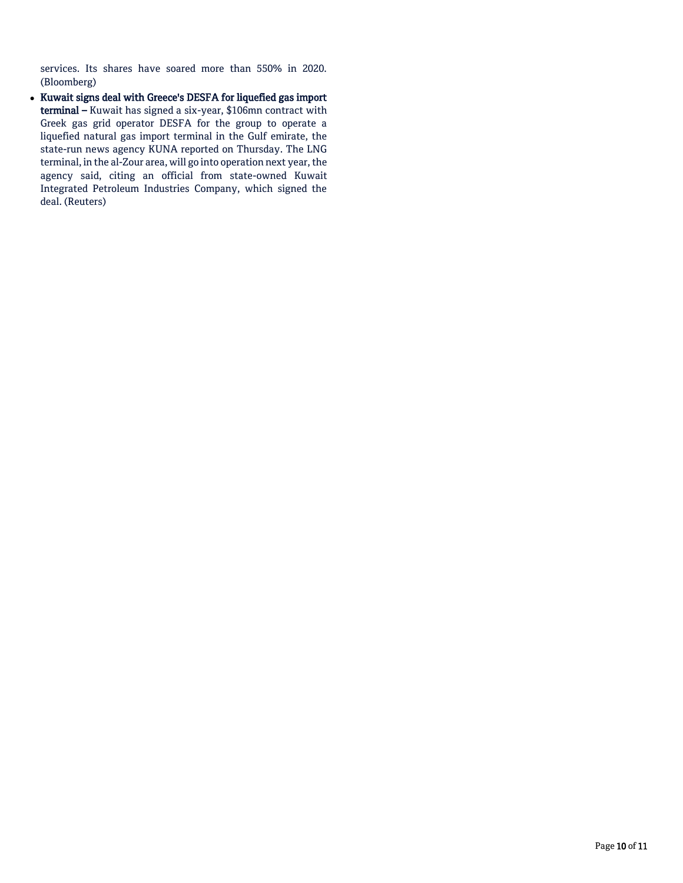services. Its shares have soared more than 550% in 2020. (Bloomberg)

 Kuwait signs deal with Greece's DESFA for liquefied gas import terminal – Kuwait has signed a six-year, \$106mn contract with Greek gas grid operator DESFA for the group to operate a liquefied natural gas import terminal in the Gulf emirate, the state-run news agency KUNA reported on Thursday. The LNG terminal, in the al-Zour area, will go into operation next year, the agency said, citing an official from state-owned Kuwait Integrated Petroleum Industries Company, which signed the deal. (Reuters)